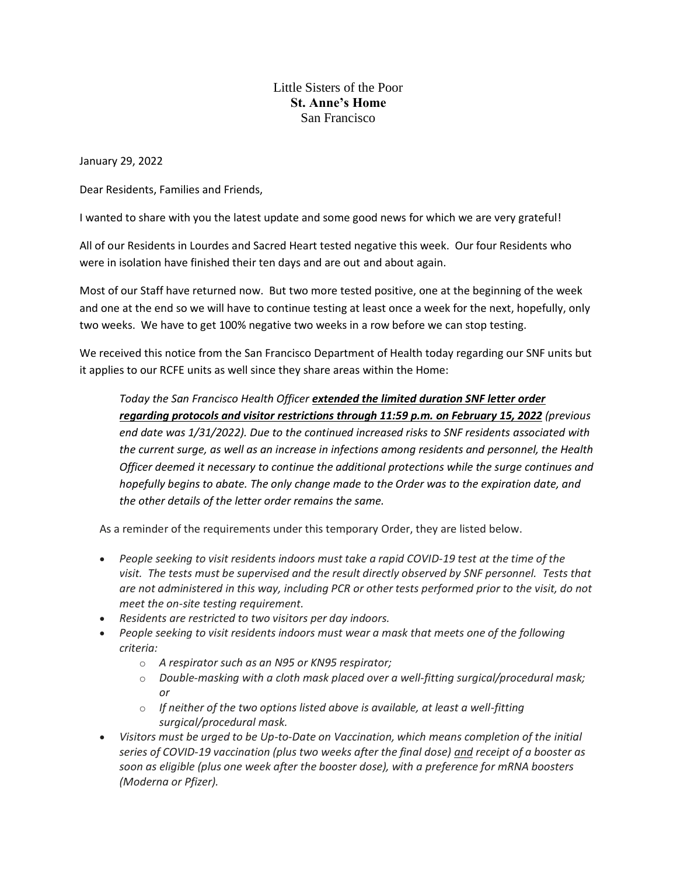## Little Sisters of the Poor **St. Anne's Home** San Francisco

January 29, 2022

Dear Residents, Families and Friends,

I wanted to share with you the latest update and some good news for which we are very grateful!

All of our Residents in Lourdes and Sacred Heart tested negative this week. Our four Residents who were in isolation have finished their ten days and are out and about again.

Most of our Staff have returned now. But two more tested positive, one at the beginning of the week and one at the end so we will have to continue testing at least once a week for the next, hopefully, only two weeks. We have to get 100% negative two weeks in a row before we can stop testing.

We received this notice from the San Francisco Department of Health today regarding our SNF units but it applies to our RCFE units as well since they share areas within the Home:

*Today the San Francisco Health Officer extended the limited duration SNF letter order regarding protocols and visitor restrictions through 11:59 p.m. on February 15, 2022 (previous end date was 1/31/2022). Due to the continued increased risks to SNF residents associated with the current surge, as well as an increase in infections among residents and personnel, the Health Officer deemed it necessary to continue the additional protections while the surge continues and hopefully begins to abate. The only change made to the Order was to the expiration date, and the other details of the letter order remains the same.*

As a reminder of the requirements under this temporary Order, they are listed below.

- *People seeking to visit residents indoors must take a rapid COVID-19 test at the time of the visit. The tests must be supervised and the result directly observed by SNF personnel. Tests that are not administered in this way, including PCR or other tests performed prior to the visit, do not meet the on-site testing requirement.*
- *Residents are restricted to two visitors per day indoors.*
- *People seeking to visit residents indoors must wear a mask that meets one of the following criteria:*
	- o *A respirator such as an N95 or KN95 respirator;*
	- o *Double-masking with a cloth mask placed over a well-fitting surgical/procedural mask; or*
	- o *If neither of the two options listed above is available, at least a well-fitting surgical/procedural mask.*
- *Visitors must be urged to be Up-to-Date on Vaccination, which means completion of the initial series of COVID-19 vaccination (plus two weeks after the final dose) and receipt of a booster as soon as eligible (plus one week after the booster dose), with a preference for mRNA boosters (Moderna or Pfizer).*